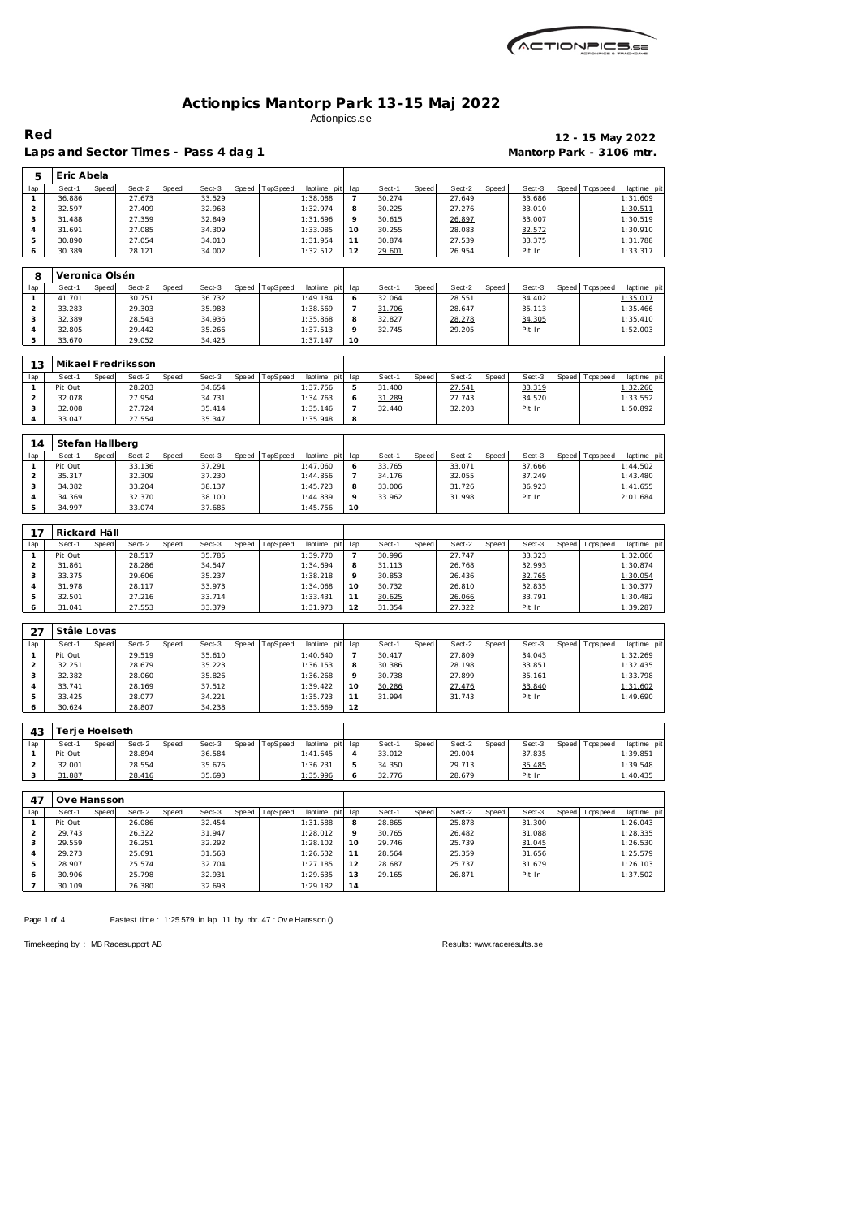

Laps and Sector Times - Pass 4 dag 1 **Mantorp Park - 3106 mtr.** 

 $\Gamma$ 

 $\overline{\phantom{a}}$ 

# **Red 12 - 15 May 2022**

| 5              | Eric Abela               |              |                    |       |        |       |          |             |                |        |       |                  |       |                  |              |                 |                         |
|----------------|--------------------------|--------------|--------------------|-------|--------|-------|----------|-------------|----------------|--------|-------|------------------|-------|------------------|--------------|-----------------|-------------------------|
| lap            | Sect-1                   | <b>Speed</b> | Sect-2             | Speed | Sect-3 | Speed | TopSpeed | laptime pit | lap            | Sect-1 | Speed | Sect-2           | Speed | Sect-3           | Speed        | T ops pee d     | laptime pit             |
| $\mathbf{1}$   | 36.886                   |              | 27.673             |       | 33.529 |       |          | 1:38.088    | 7              | 30.274 |       | 27.649           |       | 33.686           |              |                 | 1:31.609                |
| $\overline{a}$ | 32.597                   |              | 27.409             |       | 32.968 |       |          | 1:32.974    | 8              | 30.225 |       | 27.276           |       | 33.010           |              |                 | 1:30.511                |
| 3              | 31.488                   |              | 27.359             |       | 32.849 |       |          | 1:31.696    | 9              | 30.615 |       | 26.897           |       | 33.007           |              |                 | 1:30.519                |
| $\overline{4}$ | 31.691                   |              | 27.085             |       | 34.309 |       |          | 1:33.085    | 10             | 30.255 |       | 28.083           |       | 32.572           |              |                 | 1:30.910                |
| 5              | 30.890                   |              | 27.054             |       | 34.010 |       |          | 1:31.954    | 11             | 30.874 |       | 27.539           |       | 33.375           |              |                 | 1:31.788                |
| 6              | 30.389                   |              | 28.121             |       | 34.002 |       |          | 1:32.512    | 12             | 29.601 |       | 26.954           |       | Pit In           |              |                 | 1:33.317                |
|                |                          |              |                    |       |        |       |          |             |                |        |       |                  |       |                  |              |                 |                         |
| 8              | Veronica Olsén<br>Sect-1 | Speed        | Sect-2             | Speed | Sect-3 | Speed |          | laptime pit | lap            | Sect-1 | Speed | Sect-2           | Speed | Sect-3           | <b>Speed</b> | Tops pee d      |                         |
| lap<br>1       | 41.701                   |              | 30.751             |       | 36.732 |       | TopSpeed | 1:49.184    | 6              | 32.064 |       | 28.551           |       | 34.402           |              |                 | laptime pit<br>1:35.017 |
| $\overline{2}$ | 33.283                   |              | 29.303             |       | 35.983 |       |          | 1:38.569    | $\overline{7}$ | 31.706 |       | 28.647           |       | 35.113           |              |                 | 1:35.466                |
| 3              | 32.389                   |              | 28.543             |       | 34.936 |       |          | 1:35.868    | 8              | 32.827 |       |                  |       |                  |              |                 | 1:35.410                |
| $\sqrt{4}$     | 32.805                   |              | 29.442             |       | 35.266 |       |          | 1:37.513    | 9              | 32.745 |       | 28.278<br>29.205 |       | 34.305<br>Pit In |              |                 | 1:52.003                |
| 5              | 33.670                   |              | 29.052             |       | 34.425 |       |          | 1:37.147    | 10             |        |       |                  |       |                  |              |                 |                         |
|                |                          |              |                    |       |        |       |          |             |                |        |       |                  |       |                  |              |                 |                         |
| 13             |                          |              | Mikael Fredriksson |       |        |       |          |             |                |        |       |                  |       |                  |              |                 |                         |
| lap            | Sect-1                   | Speed        | Sect-2             | Speed | Sect-3 | Speed | TopSpeed | laptime pit | lap            | Sect-1 | Speed | Sect-2           | Speed | Sect-3           | Speed        | T ops pee d     | laptime pit             |
| $\mathbf{1}$   | Pit Out                  |              | 28.203             |       | 34.654 |       |          | 1:37.756    | 5              | 31.400 |       | 27.541           |       | 33.319           |              |                 | 1:32.260                |
| $\overline{c}$ | 32.078                   |              | 27.954             |       | 34.731 |       |          | 1:34.763    | 6              | 31.289 |       | 27.743           |       | 34.520           |              |                 | 1:33.552                |
| $\sqrt{3}$     | 32.008                   |              | 27.724             |       | 35.414 |       |          | 1:35.146    | 7              | 32.440 |       | 32.203           |       | Pit In           |              |                 | 1:50.892                |
| $\overline{4}$ | 33.047                   |              | 27.554             |       | 35.347 |       |          | 1:35.948    | 8              |        |       |                  |       |                  |              |                 |                         |
| 14             | Stefan Hallberg          |              |                    |       |        |       |          |             |                |        |       |                  |       |                  |              |                 |                         |
| lap            | Sect-1                   | <b>Speed</b> | Sect-2             | Speed | Sect-3 | Speed | TopSpeed | laptime pit | lap            | Sect-1 | Speed | Sect-2           | Speed | Sect-3           | Speed        | T ops pee d     | laptime pit             |
| $\mathbf{1}$   | Pit Out                  |              | 33.136             |       | 37.291 |       |          | 1:47.060    | 6              | 33.765 |       | 33.071           |       | 37.666           |              |                 | 1:44.502                |
| $\overline{c}$ | 35.317                   |              | 32.309             |       | 37.230 |       |          | 1:44.856    | 7              | 34.176 |       | 32.055           |       | 37.249           |              |                 | 1:43.480                |
| 3              | 34.382                   |              | 33.204             |       | 38.137 |       |          | 1:45.723    | 8              | 33.006 |       | 31.726           |       | 36.923           |              |                 | 1:41.655                |
| $\overline{4}$ | 34.369                   |              | 32.370             |       | 38.100 |       |          | 1:44.839    | 9              | 33.962 |       | 31.998           |       | Pit In           |              |                 | 2:01.684                |
| 5              | 34.997                   |              | 33.074             |       | 37.685 |       |          | 1:45.756    | 10             |        |       |                  |       |                  |              |                 |                         |
|                |                          |              |                    |       |        |       |          |             |                |        |       |                  |       |                  |              |                 |                         |
| 17             | Rickard Häll             |              |                    |       |        |       |          |             |                |        |       |                  |       |                  |              |                 |                         |
| lap            | Sect-1                   | Speed        | Sect-2             | Speed | Sect-3 | Speed | TopSpeed | laptime pit | lap            | Sect-1 | Speed | Sect-2           | Speed | Sect-3           | Speed        | T ops pee d     | laptime pit             |
| $\mathbf{1}$   | Pit Out                  |              | 28.517             |       | 35.785 |       |          | 1:39.770    | 7              | 30.996 |       | 27.747           |       | 33.323           |              |                 | 1:32.066                |
| $\overline{c}$ | 31.861                   |              | 28.286             |       | 34.547 |       |          | 1:34.694    | 8              | 31.113 |       | 26.768           |       | 32.993           |              |                 | 1:30.874                |
| 3              | 33.375                   |              | 29.606             |       | 35.237 |       |          | 1:38.218    | 9              | 30.853 |       | 26.436           |       | 32.765           |              |                 | 1:30.054                |
| $\sqrt{4}$     | 31.978                   |              | 28.117             |       | 33.973 |       |          | 1:34.068    | 10             | 30.732 |       | 26.810           |       | 32.835           |              |                 | 1:30.377                |
| 5              | 32.501                   |              | 27.216             |       | 33.714 |       |          | 1:33.431    | 11             | 30.625 |       | 26.066           |       | 33.791           |              |                 | 1:30.482                |
| 6              | 31.041                   |              | 27.553             |       | 33.379 |       |          | 1:31.973    | 12             | 31.354 |       | 27.322           |       | Pit In           |              |                 | 1:39.287                |
| 27             | Ståle Lovas              |              |                    |       |        |       |          |             |                |        |       |                  |       |                  |              |                 |                         |
| lap            | Sect-1                   | Speed        | Sect-2             | Speed | Sect-3 | Speed | TopSpeed | laptime pit | lap            | Sect-1 | Speed | Sect-2           | Speed | Sect-3           | Speed        | <b>Topspeed</b> | laptime pit             |
| $\mathbf{1}$   | Pit Out                  |              | 29.519             |       | 35.610 |       |          | 1:40.640    | $\overline{7}$ | 30.417 |       | 27.809           |       | 34.043           |              |                 | 1:32.269                |
| $\overline{c}$ | 32.251                   |              | 28.679             |       | 35.223 |       |          | 1:36.153    | 8              | 30.386 |       | 28.198           |       | 33.851           |              |                 | 1:32.435                |
| $\sqrt{3}$     | 32.382                   |              | 28.060             |       | 35.826 |       |          | 1:36.268    | 9              | 30.738 |       | 27.899           |       | 35.161           |              |                 | 1:33.798                |
| $\overline{4}$ | 33.741                   |              | 28.169             |       | 37.512 |       |          | 1:39.422    | 10             | 30.286 |       | 27.476           |       | 33.840           |              |                 | 1:31.602                |
| 5              | 33.425                   |              | 28.077             |       | 34.221 |       |          | 1:35.723    | 11             | 31.994 |       | 31.743           |       | Pit In           |              |                 | 1:49.690                |
| 6              | 30.624                   |              | 28.807             |       | 34.238 |       |          | 1:33.669    | 12             |        |       |                  |       |                  |              |                 |                         |
| 43             | Terje Hoelseth           |              |                    |       |        |       |          |             |                |        |       |                  |       |                  |              |                 |                         |
| lap            | Sect-1                   | Speed        | Sect-2             | Speed | Sect-3 | Speed | TopSpeed | laptime pit | lap            | Sect-1 | Speed | Sect-2           | Speed | Sect-3           | Speed        | T ops pee d     | laptime pit             |
| $\mathbf{1}$   | Pit Out                  |              | 28.894             |       | 36.584 |       |          | 1:41.645    | 4              | 33.012 |       | 29.004           |       | 37.835           |              |                 | 1:39.851                |
| $\overline{a}$ | 32.001                   |              | 28.554             |       | 35.676 |       |          | 1:36.231    | 5              | 34.350 |       | 29.713           |       |                  |              |                 | 1:39.548                |
| 3              | 31.887                   |              | 28.416             |       | 35.693 |       |          | 1:35.996    | 6              | 32.776 |       | 28.679           |       | 35.485<br>Pit In |              |                 | 1:40.435                |
|                |                          |              |                    |       |        |       |          |             |                |        |       |                  |       |                  |              |                 |                         |
| 47             | Ove Hansson              |              |                    |       |        |       |          |             |                |        |       |                  |       |                  |              |                 |                         |
| lap            | Sect-1                   | Speed        | Sect-2             | Speed | Sect-3 | Speed | TopSpeed | laptime pit | lap            | Sect-1 | Speed | Sect-2           | Speed | Sect-3           | Speed        | Tops peed       | laptime pit             |
| $\mathbf{1}$   | Pit Out                  |              | 26.086             |       | 32.454 |       |          | 1:31.588    | 8              | 28.865 |       | 25.878           |       | 31.300           |              |                 | 1:26.043                |
| $\overline{a}$ |                          |              | 26.322             |       | 31.947 |       |          | 1:28.012    | 9              | 30.765 |       | 26.482           |       | 31.088           |              |                 | 1:28.335                |
|                | 29.743                   |              |                    |       |        |       |          |             |                |        |       |                  |       |                  |              |                 |                         |
| 3              | 29.559                   |              | 26.251             |       | 32.292 |       |          | 1:28.102    | 10             | 29.746 |       | 25.739           |       | 31.045           |              |                 | 1:26.530                |
| $\sqrt{4}$     | 29.273                   |              | 25.691             |       | 31.568 |       |          | 1:26.532    | 11             | 28.564 |       | 25.359           |       | 31.656           |              |                 | 1:25.579                |
| 5              | 28.907                   |              | 25.574             |       | 32.704 |       |          | 1:27.185    | 12             | 28.687 |       | 25.737           |       | 31.679           |              |                 | 1:26.103                |
| 6              | 30.906                   |              | 25.798             |       | 32.931 |       |          | 1:29.635    | 13             | 29.165 |       | 26.871           |       | Pit In           |              |                 | 1:37.502                |
| 7              | 30.109                   |              | 26.380             |       | 32.693 |       |          | 1:29.182    | 14             |        |       |                  |       |                  |              |                 |                         |

Page 1 of 4 Fastest time : 1:25.579 in lap 11 by nbr. 47 : Ove Hansson ()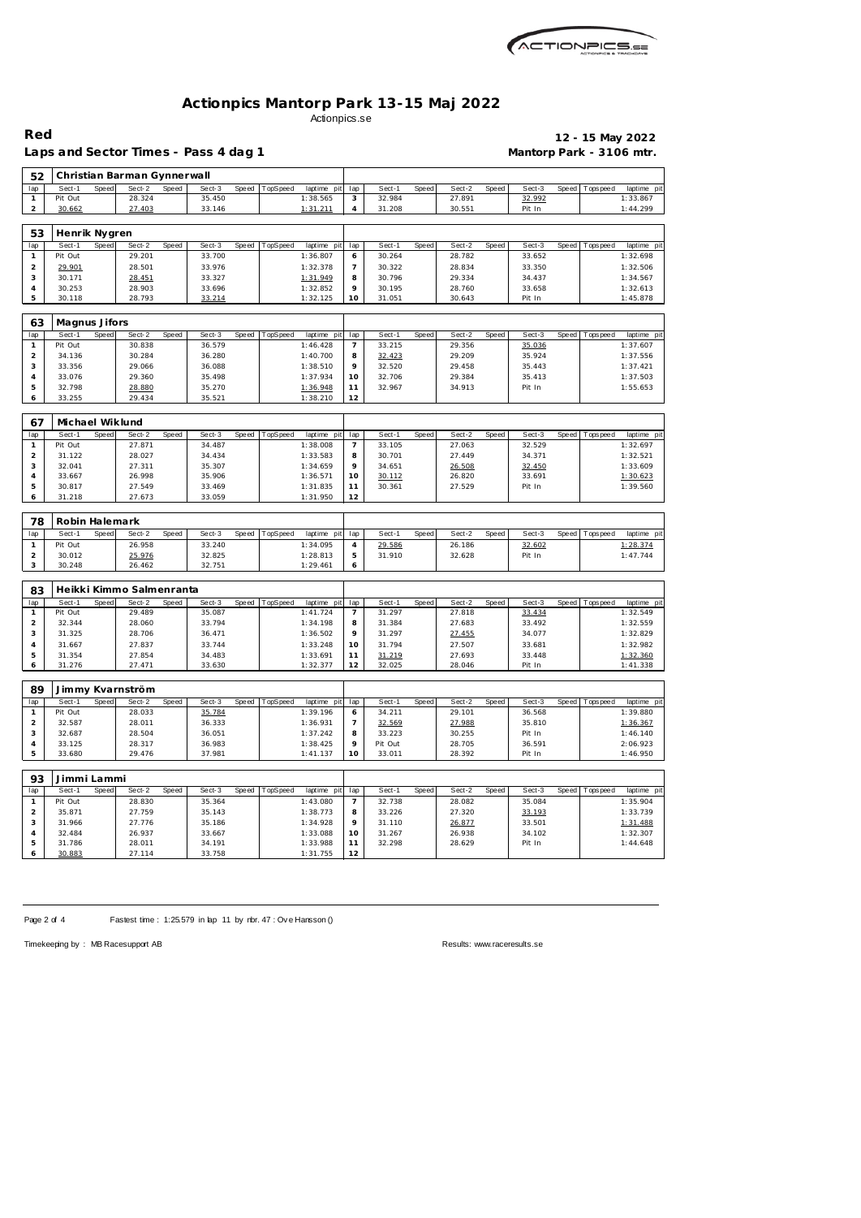

Laps and Sector Times - Pass 4 dag 1 **Mantorp Park - 3106 mtr.** 

**Red 12 - 15 May 2022**

| 52                                    |                   |       | Christian Barman Gynnerwall |       |                  |       |          |                      |                     |                   |       |                  |       |                  |       |                  |                      |
|---------------------------------------|-------------------|-------|-----------------------------|-------|------------------|-------|----------|----------------------|---------------------|-------------------|-------|------------------|-------|------------------|-------|------------------|----------------------|
| lap                                   | Sect-1            | Speed | Sect-2                      | Speed | Sect-3           | Speed | TopSpeed | laptime pit          | lap                 | Sect-1            | Speed | Sect-2           | Speed | Sect-3           | Speed | <b>Tops peed</b> | laptime pi           |
| $\mathbf{1}$                          | Pit Out           |       | 28.324                      |       | 35.450           |       |          | 1:38.565             | 3                   | 32.984            |       | 27.891           |       | 32.992           |       |                  | 1:33.867             |
| 2                                     | 30.662            |       | 27.403                      |       | 33.146           |       |          | 1:31.211             | $\overline{4}$      | 31.208            |       | 30.551           |       | Pit In           |       |                  | 1:44.299             |
|                                       |                   |       |                             |       |                  |       |          |                      |                     |                   |       |                  |       |                  |       |                  |                      |
| 53                                    | Henrik Nygren     |       |                             |       |                  |       |          |                      |                     |                   |       |                  |       |                  |       |                  |                      |
| lap                                   | Sect-1            | Speed | Sect-2                      | Speed | Sect-3           | Speed | TopSpeed | laptime pit          | lap                 | Sect-1            | Speed | Sect-2           | Speed | Sect-3           | Speed | Tops peed        | laptime pi           |
| $\mathbf{1}$                          | Pit Out           |       | 29.201                      |       | 33.700           |       |          | 1:36.807             | 6                   | 30.264            |       | 28.782           |       | 33.652           |       |                  | 1:32.698             |
| $\overline{a}$                        | 29.901            |       | 28.501                      |       | 33.976           |       |          | 1:32.378             | $\overline{7}$      | 30.322            |       | 28.834           |       | 33.350           |       |                  | 1:32.506             |
| 3                                     | 30.171            |       | 28.451                      |       | 33.327           |       |          | 1:31.949             | 8                   | 30.796            |       | 29.334           |       | 34.437           |       |                  | 1:34.567             |
| 4                                     | 30.253            |       | 28.903                      |       | 33.696           |       |          | 1:32.852             | 9                   | 30.195            |       | 28.760           |       | 33.658           |       |                  | 1:32.613             |
| 5                                     | 30.118            |       | 28.793                      |       | 33.214           |       |          | 1:32.125             | 10                  | 31.051            |       | 30.643           |       | Pit In           |       |                  | 1:45.878             |
|                                       |                   |       |                             |       |                  |       |          |                      |                     |                   |       |                  |       |                  |       |                  |                      |
| 63                                    | Magnus Jifors     |       |                             |       |                  |       |          |                      |                     |                   |       |                  |       |                  |       |                  |                      |
| lap                                   | Sect-1            | Speed | Sect-2                      | Speed | Sect-3           | Speed | TopSpeed | laptime pit          | lap                 | Sect-1            | Speed | Sect-2           | Speed | Sect-3           |       | Speed Topspeed   | laptime pi           |
| $\mathbf{1}$                          | Pit Out           |       | 30.838                      |       | 36.579           |       |          | 1:46.428             | 7                   | 33.215            |       | 29.356           |       | 35.036           |       |                  | 1:37.607             |
| $\sqrt{2}$                            | 34.136            |       | 30.284                      |       | 36.280           |       |          | 1:40.700             | 8                   | 32.423            |       | 29.209           |       | 35.924           |       |                  | 1:37.556             |
| 3                                     | 33.356            |       | 29.066                      |       | 36.088           |       |          | 1:38.510             | 9                   | 32.520            |       | 29.458           |       | 35.443           |       |                  | 1:37.421             |
| $\overline{4}$                        | 33.076            |       | 29.360                      |       | 35.498           |       |          | 1:37.934             | 10                  | 32.706            |       | 29.384           |       | 35.413           |       |                  | 1:37.503             |
| 5                                     | 32.798            |       | 28.880                      |       | 35.270           |       |          | 1:36.948             | 11                  | 32.967            |       | 34.913           |       | Pit In           |       |                  | 1:55.653             |
| 6                                     | 33.255            |       | 29.434                      |       | 35.521           |       |          | 1:38.210             | 12                  |                   |       |                  |       |                  |       |                  |                      |
|                                       |                   |       |                             |       |                  |       |          |                      |                     |                   |       |                  |       |                  |       |                  |                      |
| 67                                    | Michael Wiklund   |       |                             |       |                  |       |          |                      |                     |                   |       |                  |       |                  |       |                  |                      |
| lap                                   | Sect-1            | Speed | Sect-2                      | Speed | Sect-3           | Speed | TopSpeed | laptime pit          | lap                 | Sect-1            | Speed | Sect-2           | Speed | Sect-3           | Speed | Tops peed        | laptime pit          |
| $\mathbf{1}$                          | Pit Out           |       | 27.871                      |       | 34.487           |       |          | 1:38.008             | $\overline{7}$      | 33.105            |       | 27.063           |       | 32.529           |       |                  | 1:32.697             |
| $\overline{a}$                        | 31.122            |       | 28.027                      |       | 34.434           |       |          | 1:33.583             | 8                   | 30.701            |       | 27.449           |       | 34.371           |       |                  | 1:32.521             |
| 3                                     | 32.041            |       | 27.311                      |       | 35.307           |       |          | 1:34.659             | 9                   | 34.651            |       | 26.508           |       | 32.450           |       |                  | 1:33.609             |
| $\overline{4}$                        | 33.667            |       | 26.998                      |       | 35.906           |       |          | 1:36.571             | 10                  | 30.112            |       | 26.820           |       | 33.691           |       |                  | 1:30.623             |
| 5                                     | 30.817            |       | 27.549                      |       | 33.469           |       |          | 1:31.835             | 11                  | 30.361            |       | 27.529           |       | Pit In           |       |                  | 1:39.560             |
| 6                                     | 31.218            |       | 27.673                      |       | 33.059           |       |          | 1:31.950             | 12                  |                   |       |                  |       |                  |       |                  |                      |
|                                       |                   |       |                             |       |                  |       |          |                      |                     |                   |       |                  |       |                  |       |                  |                      |
| 78                                    | Robin Halemark    |       |                             |       |                  |       |          |                      |                     |                   |       |                  |       |                  |       |                  |                      |
| lap                                   | Sect-1            | Speed | Sect-2                      | Speed | Sect-3           | Speed | TopSpeed | laptime pit          | lap                 | Sect-1            | Speed | Sect-2           | Speed | Sect-3           | Speed | Tops peed        | laptime pi           |
| $\mathbf{1}$                          | Pit Out           |       | 26.958                      |       | 33.240           |       |          | 1:34.095             | $\overline{4}$      | 29.586            |       | 26.186           |       | 32.602           |       |                  | 1:28.374             |
| $\overline{c}$                        | 30.012            |       | 25.976                      |       | 32.825           |       |          | 1:28.813             | 5                   | 31.910            |       | 32.628           |       | Pit In           |       |                  | 1:47.744             |
| 3                                     | 30.248            |       | 26.462                      |       | 32.751           |       |          | 1:29.461             | 6                   |                   |       |                  |       |                  |       |                  |                      |
|                                       |                   |       |                             |       |                  |       |          |                      |                     |                   |       |                  |       |                  |       |                  |                      |
| 83                                    |                   |       | Heikki Kimmo Salmenranta    |       |                  |       |          |                      |                     |                   |       |                  |       |                  |       |                  |                      |
| lap                                   | Sect-1            | Speed | Sect-2                      | Speed | Sect-3           | Speed | TopSpeed | laptime pit          | lap                 | Sect-1            | Speed | Sect-2           | Speed | Sect-3           |       | Speed Topspeed   | laptime pi           |
| $\mathbf{1}$                          | Pit Out           |       | 29.489                      |       | 35.087           |       |          | 1:41.724             | $\overline{7}$      | 31.297            |       | 27.818           |       | 33.434           |       |                  | 1:32.549             |
| $\overline{a}$                        | 32.344            |       | 28.060                      |       | 33.794           |       |          | 1:34.198             | 8                   | 31.384            |       | 27.683           |       | 33.492           |       |                  | 1:32.559             |
| 3                                     | 31.325            |       | 28.706                      |       | 36.471           |       |          | 1:36.502             | 9                   | 31.297            |       | 27.455           |       | 34.077           |       |                  | 1:32.829             |
| 4                                     | 31.667            |       | 27.837                      |       | 33.744           |       |          | 1:33.248             | 10                  | 31.794            |       | 27.507           |       | 33.681           |       |                  | 1:32.982             |
| 5                                     | 31.354            |       | 27.854                      |       | 34.483           |       |          | 1:33.691             | 11                  | 31.219            |       | 27.693           |       | 33.448           |       |                  | 1:32.360             |
| 6                                     | 31.276            |       | 27.471                      |       | 33.630           |       |          | 1:32.377             | 12                  | 32.025            |       | 28.046           |       | Pit In           |       |                  | 1:41.338             |
|                                       |                   |       |                             |       |                  |       |          |                      |                     |                   |       |                  |       |                  |       |                  |                      |
| 89                                    |                   |       | Jimmy Kvarnström            |       |                  |       |          |                      |                     |                   |       |                  |       |                  |       |                  |                      |
| lap                                   | Sect-1            | Speed | Sect-2                      | Speed | Sect-3           | Speed | TopSpeed | laptime pit          | lap                 | Sect-1            | Speed | Sect-2           | Speed | Sect-3           | Speed | Tops peed        | laptime pi           |
| $\mathbf{1}$<br>$\overline{2}$        | Pit Out<br>32.587 |       | 28.033<br>28.011            |       | 35.784<br>36.333 |       |          | 1:39.196             | 6<br>$\overline{7}$ | 34.211<br>32.569  |       | 29.101           |       | 36.568<br>35.810 |       |                  | 1:39.880             |
| 3                                     |                   |       |                             |       |                  |       |          | 1:36.931             | 8                   |                   |       | 27.988           |       |                  |       |                  | 1:36.367             |
|                                       | 32.687            |       | 28.504                      |       | 36.051           |       |          | 1:37.242             |                     | 33.223            |       | 30.255           |       | Pit In           |       |                  | 1:46.140             |
| 4<br>5                                | 33.125<br>33.680  |       | 28.317<br>29.476            |       | 36.983<br>37.981 |       |          | 1:38.425<br>1:41.137 | 9<br>10             | Pit Out<br>33.011 |       | 28.705<br>28.392 |       | 36.591<br>Pit In |       |                  | 2:06.923<br>1:46.950 |
|                                       |                   |       |                             |       |                  |       |          |                      |                     |                   |       |                  |       |                  |       |                  |                      |
| 93                                    | Jimmi Lammi       |       |                             |       |                  |       |          |                      |                     |                   |       |                  |       |                  |       |                  |                      |
|                                       |                   | Speed | Sect-2                      | Speed | Sect-3           | Speed | TopSpeed | laptime pit          | lap                 | Sect-1            | Speed | Sect-2           | Speed | Sect-3           | Speed | Tops peed        | laptime pi           |
|                                       |                   |       |                             |       |                  |       |          |                      |                     |                   |       |                  |       |                  |       |                  |                      |
|                                       | Sect-1            |       |                             |       |                  |       |          |                      |                     |                   |       |                  |       |                  |       |                  |                      |
|                                       | Pit Out           |       | 28.830                      |       | 35.364           |       |          | 1:43.080             | $\overline{7}$      | 32.738            |       | 28.082           |       | 35.084           |       |                  | 1:35.904             |
| lap<br>$\mathbf{1}$<br>$\overline{2}$ | 35.871            |       | 27.759                      |       | 35.143           |       |          | 1:38.773             | 8                   | 33.226            |       | 27.320           |       | 33.193           |       |                  | 1:33.739             |
| 3                                     | 31.966<br>32.484  |       | 27.776<br>26.937            |       | 35.186<br>33.667 |       |          | 1:34.928<br>1:33.088 | 9<br>10             | 31.110<br>31.267  |       | 26.877<br>26.938 |       | 33.501<br>34.102 |       |                  | 1:31.488<br>1:32.307 |

Page 2 of 4 Fastest time : 1:25.579 in lap 11 by nbr. 47 : Ove Hansson ()

 31.786 28.011 34.191 1:33.988 11 30.883 27.114 33.758 1:31.755

11.44.648 28.629 Pit In 1:44.648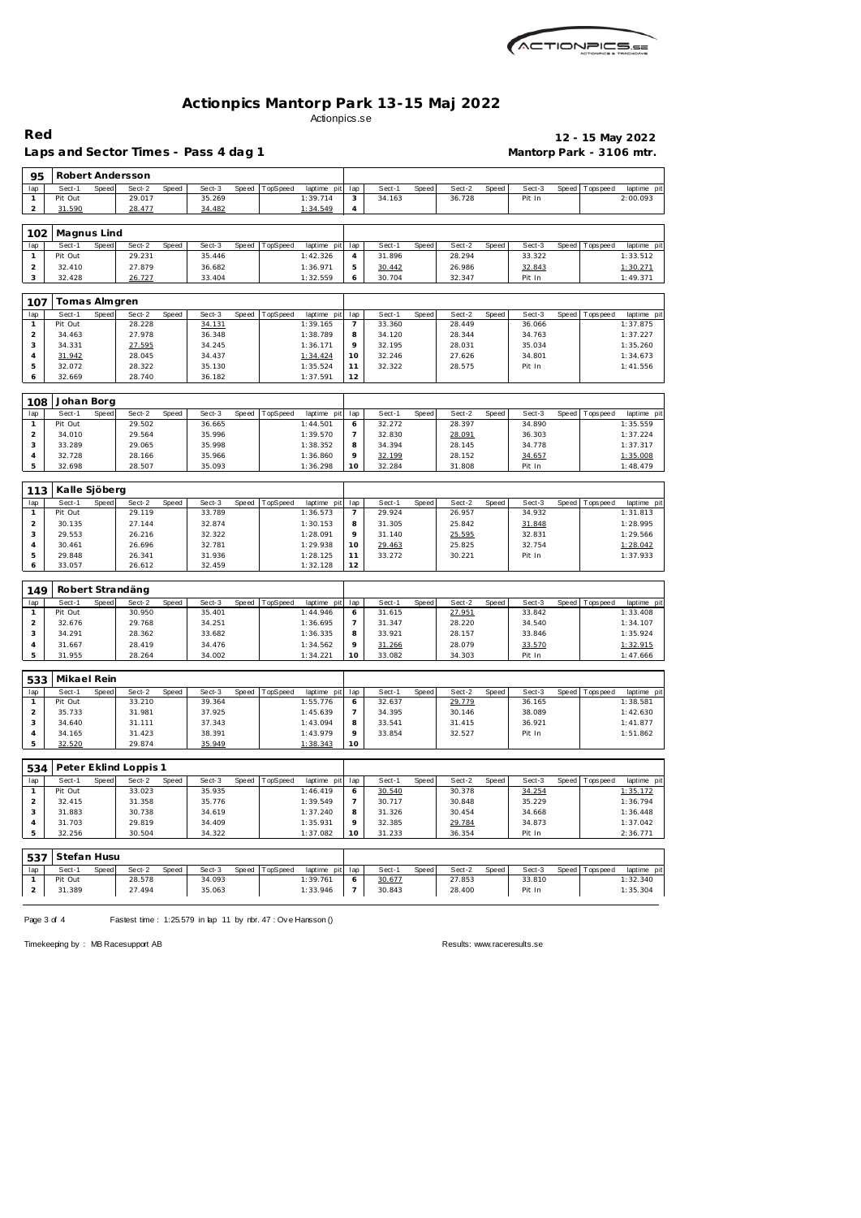| ACTIONPICS 52 |
|---------------|
|               |

 **Robert Andersson**

Laps and Sector Times - Pass 4 dag 1 **Mantorp Park - 3106 mtr.** 

**Red 12 - 15 May 2022**

|                | Sect-1        | Speed | Sect-2                | Speed | Sect-3 |       | Speed   TopSpeed | laptime pit | lap            | Sect-1 | Speed | Sect-2 | Speed | Sect-3 |       | Speed Tops peed | laptime pi  |
|----------------|---------------|-------|-----------------------|-------|--------|-------|------------------|-------------|----------------|--------|-------|--------|-------|--------|-------|-----------------|-------------|
| $\mathbf{1}$   | Pit Out       |       | 29.017                |       | 35.269 |       |                  | 1:39.714    | 3              | 34.163 |       | 36.728 |       | Pit In |       |                 | 2:00.093    |
| $\overline{a}$ | 31.590        |       | 28.477                |       | 34.482 |       |                  | 1:34.549    | $\overline{4}$ |        |       |        |       |        |       |                 |             |
|                |               |       |                       |       |        |       |                  |             |                |        |       |        |       |        |       |                 |             |
|                |               |       |                       |       |        |       |                  |             |                |        |       |        |       |        |       |                 |             |
| 102            | Magnus Lind   |       |                       |       |        |       |                  |             |                |        |       |        |       |        |       |                 |             |
| lap            | Sect-1        | Speed | Sect-2                | Speed | Sect-3 | Speed | TopSpeed         | laptime pit | lap            | Sect-1 | Speed | Sect-2 | Speed | Sect-3 | Speed | T ops pee d     | laptime pi  |
| $\mathbf{1}$   | Pit Out       |       | 29.231                |       | 35.446 |       |                  | 1:42.326    | 4              | 31.896 |       | 28.294 |       | 33.322 |       |                 | 1:33.512    |
| $\overline{a}$ | 32.410        |       | 27.879                |       | 36.682 |       |                  | 1:36.971    | $\mathbf 5$    | 30.442 |       | 26.986 |       | 32.843 |       |                 | 1:30.271    |
| 3              |               |       |                       |       |        |       |                  |             |                |        |       |        |       |        |       |                 |             |
|                | 32.428        |       | 26.727                |       | 33.404 |       |                  | 1:32.559    | 6              | 30.704 |       | 32.347 |       | Pit In |       |                 | 1:49.371    |
|                |               |       |                       |       |        |       |                  |             |                |        |       |        |       |        |       |                 |             |
| 107            | Tomas Almgren |       |                       |       |        |       |                  |             |                |        |       |        |       |        |       |                 |             |
| lap            | Sect-1        | Speed | Sect-2                | Speed | Sect-3 | Speed | TopSpeed         | laptime pit | lap            | Sect-1 | Speed | Sect-2 | Speed | Sect-3 | Speed | Tops peed       | laptime pi  |
| $\mathbf{1}$   | Pit Out       |       |                       |       |        |       |                  | 1:39.165    |                | 33.360 |       | 28.449 |       | 36.066 |       |                 | 1:37.875    |
|                |               |       | 28.228                |       | 34.131 |       |                  |             | $\overline{7}$ |        |       |        |       |        |       |                 |             |
| $\mathbf 2$    | 34.463        |       | 27.978                |       | 36.348 |       |                  | 1:38.789    | 8              | 34.120 |       | 28.344 |       | 34.763 |       |                 | 1:37.227    |
| 3              | 34.331        |       | 27.595                |       | 34.245 |       |                  | 1:36.171    | 9              | 32.195 |       | 28.031 |       | 35.034 |       |                 | 1:35.260    |
| 4              | 31.942        |       | 28.045                |       | 34.437 |       |                  | 1:34.424    | 10             | 32.246 |       | 27.626 |       | 34.801 |       |                 | 1:34.673    |
| 5              | 32.072        |       | 28.322                |       | 35.130 |       |                  | 1:35.524    | 11             | 32.322 |       | 28.575 |       | Pit In |       |                 | 1:41.556    |
| 6              | 32.669        |       | 28.740                |       | 36.182 |       |                  | 1:37.591    | 12             |        |       |        |       |        |       |                 |             |
|                |               |       |                       |       |        |       |                  |             |                |        |       |        |       |        |       |                 |             |
|                |               |       |                       |       |        |       |                  |             |                |        |       |        |       |        |       |                 |             |
| 108            | Johan Borg    |       |                       |       |        |       |                  |             |                |        |       |        |       |        |       |                 |             |
| lap            | Sect-1        | Speed | Sect-2                | Speed | Sect-3 | Speed | TopSpeed         | laptime pit | lap            | Sect-1 | Speed | Sect-2 | Speed | Sect-3 | Speed | T ops pee d     | laptime pi  |
| $\mathbf{1}$   | Pit Out       |       | 29.502                |       | 36.665 |       |                  | 1:44.501    | 6              | 32.272 |       | 28.397 |       | 34.890 |       |                 | 1:35.559    |
| $\overline{c}$ | 34.010        |       | 29.564                |       | 35.996 |       |                  | 1:39.570    | $\overline{7}$ | 32.830 |       | 28.091 |       | 36.303 |       |                 | 1:37.224    |
| 3              | 33.289        |       | 29.065                |       | 35.998 |       |                  | 1:38.352    | 8              | 34.394 |       | 28.145 |       | 34.778 |       |                 | 1:37.317    |
|                |               |       |                       |       |        |       |                  |             |                |        |       |        |       |        |       |                 |             |
| $\overline{4}$ | 32.728        |       | 28.166                |       | 35.966 |       |                  | 1:36.860    | 9              | 32.199 |       | 28.152 |       | 34.657 |       |                 | 1:35.008    |
| 5              | 32.698        |       | 28.507                |       | 35.093 |       |                  | 1:36.298    | 10             | 32.284 |       | 31.808 |       | Pit In |       |                 | 1:48.479    |
|                |               |       |                       |       |        |       |                  |             |                |        |       |        |       |        |       |                 |             |
| 113            | Kalle Sjöberg |       |                       |       |        |       |                  |             |                |        |       |        |       |        |       |                 |             |
|                |               |       |                       |       |        |       |                  |             |                |        |       |        |       |        |       |                 |             |
| lap            | Sect-1        | Speed | Sect-2                | Speed | Sect-3 | Speed | TopSpeed         | laptime pit | lap            | Sect-1 | Speed | Sect-2 | Speed | Sect-3 | Speed | Tops peed       | laptime pit |
| $\mathbf{1}$   | Pit Out       |       | 29.119                |       | 33.789 |       |                  | 1:36.573    | $\overline{7}$ | 29.924 |       | 26.957 |       | 34.932 |       |                 | 1:31.813    |
| $\overline{c}$ | 30.135        |       | 27.144                |       | 32.874 |       |                  | 1:30.153    | 8              | 31.305 |       | 25.842 |       | 31.848 |       |                 | 1:28.995    |
| 3              | 29.553        |       | 26.216                |       | 32.322 |       |                  | 1:28.091    | 9              | 31.140 |       | 25.595 |       | 32.831 |       |                 | 1:29.566    |
| $\overline{4}$ | 30.461        |       | 26.696                |       | 32.781 |       |                  | 1:29.938    | 10             | 29.463 |       | 25.825 |       | 32.754 |       |                 | 1:28.042    |
|                |               |       |                       |       |        |       |                  |             |                |        |       |        |       |        |       |                 |             |
|                |               |       |                       |       |        |       |                  |             |                |        |       |        |       |        |       |                 |             |
| 5              | 29.848        |       | 26.341                |       | 31.936 |       |                  | 1:28.125    | 11             | 33.272 |       | 30.221 |       | Pit In |       |                 | 1:37.933    |
| 6              | 33.057        |       | 26.612                |       | 32.459 |       |                  | 1:32.128    | 12             |        |       |        |       |        |       |                 |             |
|                |               |       |                       |       |        |       |                  |             |                |        |       |        |       |        |       |                 |             |
| 149            |               |       | Robert Strandäng      |       |        |       |                  |             |                |        |       |        |       |        |       |                 |             |
|                |               |       |                       |       |        |       |                  |             |                |        |       |        |       |        |       |                 |             |
| lap            | Sect-1        | Speed | Sect-2                | Speed | Sect-3 | Speed | TopSpeed         | laptime pit | lap            | Sect-1 | Speed | Sect-2 | Speed | Sect-3 |       | Speed Tops peed | laptime pi  |
| $\mathbf{1}$   | Pit Out       |       | 30.950                |       | 35.401 |       |                  | 1:44.946    | 6              | 31.615 |       | 27.951 |       | 33.842 |       |                 | 1:33.408    |
| $\overline{c}$ | 32.676        |       | 29.768                |       | 34.251 |       |                  | 1:36.695    | 7              | 31.347 |       | 28.220 |       | 34.540 |       |                 | 1:34.107    |
| 3              | 34.291        |       | 28.362                |       | 33.682 |       |                  | 1:36.335    | 8              | 33.921 |       | 28.157 |       | 33.846 |       |                 | 1:35.924    |
| 4              | 31.667        |       | 28.419                |       | 34.476 |       |                  | 1:34.562    | 9              | 31.266 |       | 28.079 |       | 33.570 |       |                 | 1:32.915    |
| 5              | 31.955        |       | 28.264                |       | 34.002 |       |                  | 1:34.221    | 10             | 33.082 |       | 34.303 |       | Pit In |       |                 | 1:47.666    |
|                |               |       |                       |       |        |       |                  |             |                |        |       |        |       |        |       |                 |             |
|                |               |       |                       |       |        |       |                  |             |                |        |       |        |       |        |       |                 |             |
| 533            | Mikael Rein   |       |                       |       |        |       |                  |             |                |        |       |        |       |        |       |                 |             |
| lap            | Sect-1        | Speed | Sect-2                | Speed | Sect-3 | Speed | TopSpeed         | laptime pit | lap            | Sect-1 | Speed | Sect-2 | Speed | Sect-3 | Speed | Tops peed       | laptime pi  |
| $\mathbf{1}$   | Pit Out       |       | 33.210                |       | 39.364 |       |                  | 1:55.776    | 6              | 32.637 |       | 29.779 |       | 36.165 |       |                 | 1:38.581    |
|                |               |       | 31.981                |       | 37.925 |       |                  |             |                |        |       |        |       |        |       |                 |             |
| $\overline{c}$ | 35.733        |       |                       |       |        |       |                  | 1:45.639    | $\overline{7}$ | 34.395 |       | 30.146 |       | 38.089 |       |                 | 1:42.630    |
| 3              | 34.640        |       | 31.111                |       | 37.343 |       |                  | 1:43.094    | 8              | 33.541 |       | 31.415 |       | 36.921 |       |                 | 1:41.877    |
| $\overline{4}$ | 34.165        |       | 31.423                |       | 38.391 |       |                  | 1:43.979    | 9              | 33.854 |       | 32.527 |       | Pit In |       |                 | 1:51.862    |
| 5              | 32.520        |       | 29.874                |       | 35.949 |       |                  | 1:38.343    | 10             |        |       |        |       |        |       |                 |             |
|                |               |       |                       |       |        |       |                  |             |                |        |       |        |       |        |       |                 |             |
|                |               |       |                       |       |        |       |                  |             |                |        |       |        |       |        |       |                 |             |
| 534            |               |       | Peter Eklind Loppis 1 |       |        |       |                  |             |                |        |       |        |       |        |       |                 |             |
| lap            | Sect-1        | Speed | Sect-2                | Speed | Sect-3 | Speed | TopSpeed         | laptime pit | lap            | Sect-1 | Speed | Sect-2 | Speed | Sect-3 | Speed | T ops pee d     | laptime pit |
| $\mathbf{1}$   | Pit Out       |       | 33.023                |       | 35.935 |       |                  | 1:46.419    | 6              | 30.540 |       | 30.378 |       | 34.254 |       |                 | 1:35.172    |
| $\overline{c}$ | 32.415        |       | 31.358                |       | 35.776 |       |                  | 1:39.549    | $\overline{7}$ | 30.717 |       | 30.848 |       | 35.229 |       |                 | 1:36.794    |
| 3              | 31.883        |       | 30.738                |       | 34.619 |       |                  | 1:37.240    | 8              | 31.326 |       | 30.454 |       | 34.668 |       |                 | 1:36.448    |
| 4              | 31.703        |       | 29.819                |       | 34.409 |       |                  | 1:35.931    | 9              |        |       |        |       | 34.873 |       |                 | 1:37.042    |
|                |               |       |                       |       |        |       |                  |             |                | 32.385 |       | 29.784 |       |        |       |                 |             |
| 5              | 32.256        |       | 30.504                |       | 34.322 |       |                  | 1:37.082    | 10             | 31.233 |       | 36.354 |       | Pit In |       |                 | 2:36.771    |
|                |               |       |                       |       |        |       |                  |             |                |        |       |        |       |        |       |                 |             |
| 537            | Stefan Husu   |       |                       |       |        |       |                  |             |                |        |       |        |       |        |       |                 |             |
|                |               |       |                       |       |        |       |                  |             |                |        |       |        |       |        |       |                 |             |
| lap            | Sect-1        | Speed | Sect-2                | Speed | Sect-3 | Speed | TopSpeed         | laptime pit | lap            | Sect-1 | Speed | Sect-2 | Speed | Sect-3 |       | Speed Topspeed  | laptime pit |
| $\mathbf{1}$   | Pit Out       |       | 28.578                |       | 34.093 |       |                  | 1:39.761    | 6              | 30.677 |       | 27.853 |       | 33.810 |       |                 | 1:32.340    |
| $\overline{a}$ | 31.389        |       | 27.494                |       | 35.063 |       |                  | 1:33.946    | $\overline{7}$ | 30.843 |       | 28.400 |       | Pit In |       |                 | 1:35.304    |

Page 3 of 4 Fastest time : 1:25.579 in lap 11 by nbr. 47 : Ove Hansson ()